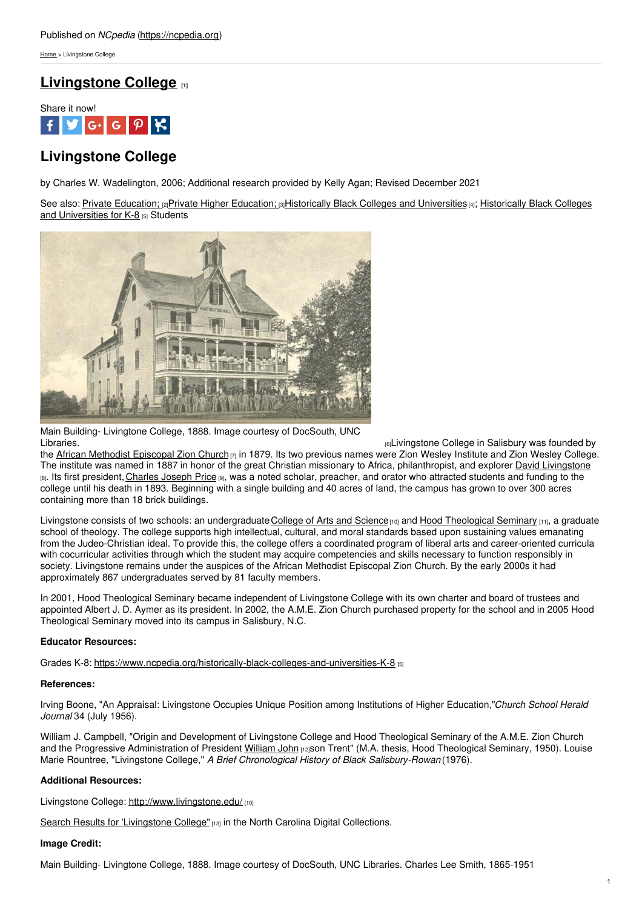[Home](https://ncpedia.org/) > Livingstone College

## **[Livingstone](https://ncpedia.org/livingstone-college) College [1]**

Share it now!



# **Livingstone College**

by Charles W. Wadelington, 2006; Additional research provided by Kelly Agan; Revised December 2021

See also: Private [Education;](https://ncpedia.org/education/privatehigher) [2]Private Higher Education; [3]Historically Black Colleges and [Universities](https://www.ncpedia.org/historically-black-colleges-and-universities-K-8) [4]; Historically Black Colleges and Universities for K-8 [5] Students



Main Building- Livingtone College, 1888. Image courtesy of DocSouth, UNC

[6]Livingstone College in Salisbury was founded by the African Methodist [Episcopal](https://ncpedia.org/religion/african-methodist-episcopal-zion-church) Zion Church [7] in 1879. Its two previous names were Zion Wesley Institute and Zion Wesley College. The institute was named in 1887 in honor of the great Christian missionary to Africa, philanthropist, and explorer David [Livingstone](http://www.wholesomewords.org/biography/biorplivingstone.html) [8]. Its first president, [Charles](http://www.blackpast.org/?q=aah/price-joseph-charles-1854-1893) Joseph Price [9], was a noted scholar, preacher, and orator who attracted students and funding to the college until his death in 1893. Beginning with a single building and 40 acres of land, the campus has grown to over 300 acres containing more than 18 brick buildings.

Livingstone consists of two schools: an undergraduate [College](http://www.livingstone.edu/) of Arts and Science<sub>[10]</sub> and Hood [Theological](http://www.hoodseminary.edu/index.cfm) Seminary [11], a graduate school of theology. The college supports high intellectual, cultural, and moral standards based upon sustaining values emanating from the Judeo-Christian ideal. To provide this, the college offers a coordinated program of liberal arts and career-oriented curricula with cocurricular activities through which the student may acquire competencies and skills necessary to function responsibly in society. Livingstone remains under the auspices of the African Methodist Episcopal Zion Church. By the early 2000s it had approximately 867 undergraduates served by 81 faculty members.

In 2001, Hood Theological Seminary became independent of Livingstone College with its own charter and board of trustees and appointed Albert J. D. Aymer as its president. In 2002, the A.M.E. Zion Church purchased property for the school and in 2005 Hood Theological Seminary moved into its campus in Salisbury, N.C.

### **Educator Resources:**

Grades K-8: <https://www.ncpedia.org/historically-black-colleges-and-universities-K-8> [5]

### **References:**

Irving Boone, "An Appraisal: Livingstone Occupies Unique Position among Institutions of Higher Education,"*Church School Herald Journal* 34 (July 1956).

William J. Campbell, "Origin and Development of Livingstone College and Hood Theological Seminary of the A.M.E. Zion Church and the Progressive Administration of President [William](https://ncpedia.org/biography/moore-william-john) John [12]son Trent" (M.A. thesis, Hood Theological Seminary, 1950). Louise Marie Rountree, "Livingstone College," *A Brief Chronological History of Black Salisbury-Rowan* (1976).

### **Additional Resources:**

Livingstone College: <http://www.livingstone.edu/> [10]

Search Results for ['Livingstone](http://digital.ncdcr.gov/cdm4/results.php?CISOBOX1=livingstone+college&CISOOP1=exact&CISOFIELD1=CISOSEARCHALL&CISOSUPPRESS=1&CISOROOT=all&x=9&y=12) College" [13] in the North Carolina Digital Collections.

### **Image Credit:**

Main Building- Livingtone College, 1888. Image courtesy of DocSouth, UNC Libraries. Charles Lee Smith, 1865-1951